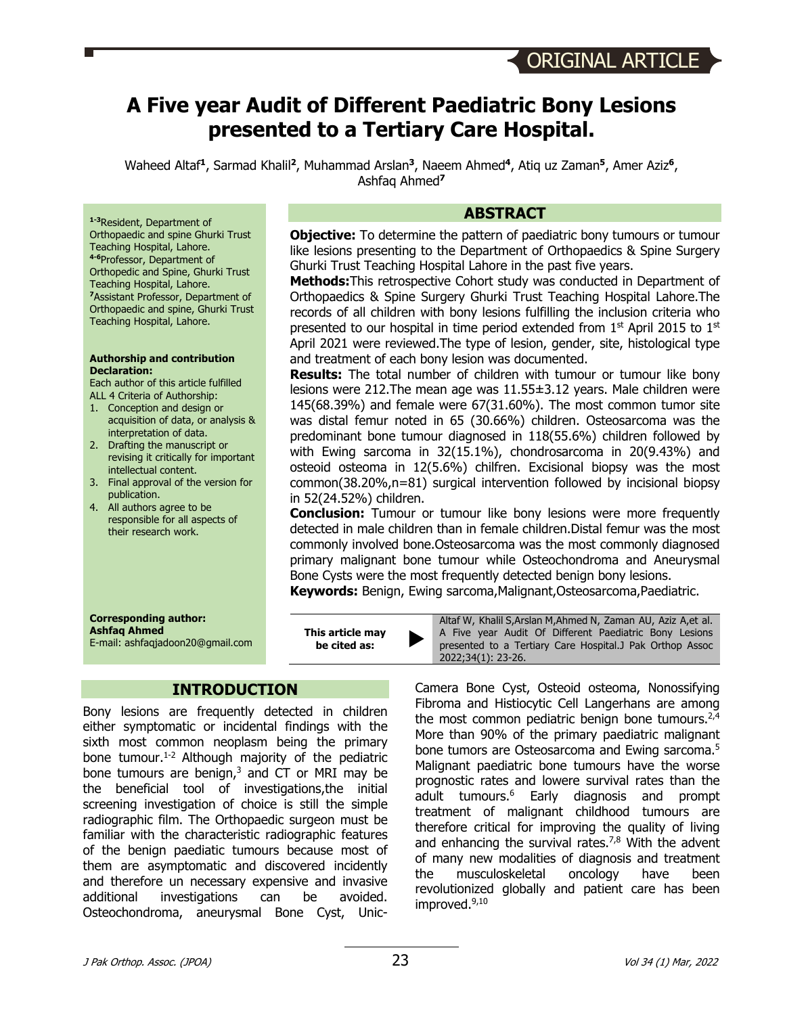# **A Five year Audit of Different Paediatric Bony Lesions presented to a Tertiary Care Hospital.**

Waheed Altaf**<sup>1</sup>**, Sarmad Khalil**<sup>2</sup>**, Muhammad Arslan**<sup>3</sup>**, Naeem Ahmed**<sup>4</sup>**, Atiq uz Zaman**<sup>5</sup>**, Amer Aziz**<sup>6</sup>**, Ashfaq Ahmed**<sup>7</sup>**

**1-3**Resident, Department of Orthopaedic and spine Ghurki Trust Teaching Hospital, Lahore. **4-6**Professor, Department of Orthopedic and Spine, Ghurki Trust Teaching Hospital, Lahore. **<sup>7</sup>**Assistant Professor, Department of Orthopaedic and spine, Ghurki Trust Teaching Hospital, Lahore.

#### **Authorship and contribution Declaration:**

Each author of this article fulfilled ALL 4 Criteria of Authorship:

- 1. Conception and design or acquisition of data, or analysis & interpretation of data.
- 2. Drafting the manuscript or revising it critically for important intellectual content.
- 3. Final approval of the version for publication.
- 4. All authors agree to be responsible for all aspects of their research work.

#### **Corresponding author: Ashfaq Ahmed** E-mail: ashfaqjadoon20@gmail.com

# **INTRODUCTION**

**This article may be cited as:** 

Bony lesions are frequently detected in children either symptomatic or incidental findings with the sixth most common neoplasm being the primary bone tumour. 1-2 Although majority of the pediatric bone tumours are benign, $3$  and CT or MRI may be the beneficial tool of investigations,the initial screening investigation of choice is still the simple radiographic film. The Orthopaedic surgeon must be familiar with the characteristic radiographic features of the benign paediatic tumours because most of them are asymptomatic and discovered incidently and therefore un necessary expensive and invasive additional investigations can be avoided. Osteochondroma, aneurysmal Bone Cyst, Unic-

## **ABSTRACT**

**Objective:** To determine the pattern of paediatric bony tumours or tumour like lesions presenting to the Department of Orthopaedics & Spine Surgery Ghurki Trust Teaching Hospital Lahore in the past five years.

**Methods:**This retrospective Cohort study was conducted in Department of Orthopaedics & Spine Surgery Ghurki Trust Teaching Hospital Lahore.The records of all children with bony lesions fulfilling the inclusion criteria who presented to our hospital in time period extended from  $1<sup>st</sup>$  April 2015 to  $1<sup>st</sup>$ April 2021 were reviewed.The type of lesion, gender, site, histological type and treatment of each bony lesion was documented.

**Results:** The total number of children with tumour or tumour like bony lesions were 212.The mean age was 11.55±3.12 years. Male children were 145(68.39%) and female were 67(31.60%). The most common tumor site was distal femur noted in 65 (30.66%) children. Osteosarcoma was the predominant bone tumour diagnosed in 118(55.6%) children followed by with Ewing sarcoma in 32(15.1%), chondrosarcoma in 20(9.43%) and osteoid osteoma in 12(5.6%) chilfren. Excisional biopsy was the most common(38.20%,n=81) surgical intervention followed by incisional biopsy in 52(24.52%) children.

**Conclusion:** Tumour or tumour like bony lesions were more frequently detected in male children than in female children.Distal femur was the most commonly involved bone.Osteosarcoma was the most commonly diagnosed primary malignant bone tumour while Osteochondroma and Aneurysmal Bone Cysts were the most frequently detected benign bony lesions. **Keywords:** Benign, Ewing sarcoma,Malignant,Osteosarcoma,Paediatric.

Altaf W, Khalil S,Arslan M,Ahmed N, Zaman AU, Aziz A,et al. A Five year Audit Of Different Paediatric Bony Lesions presented to a Tertiary Care Hospital.J Pak Orthop Assoc 2022;34(1): 23-26.

Camera Bone Cyst, Osteoid osteoma, Nonossifying Fibroma and Histiocytic Cell Langerhans are among the most common pediatric benign bone tumours. $2,4$ More than 90% of the primary paediatric malignant bone tumors are Osteosarcoma and Ewing sarcoma.<sup>5</sup> Malignant paediatric bone tumours have the worse prognostic rates and lowere survival rates than the adult tumours. <sup>6</sup> Early diagnosis and prompt treatment of malignant childhood tumours are therefore critical for improving the quality of living and enhancing the survival rates. 7,8 With the advent of many new modalities of diagnosis and treatment the musculoskeletal oncology have been revolutionized globally and patient care has been improved. 9,10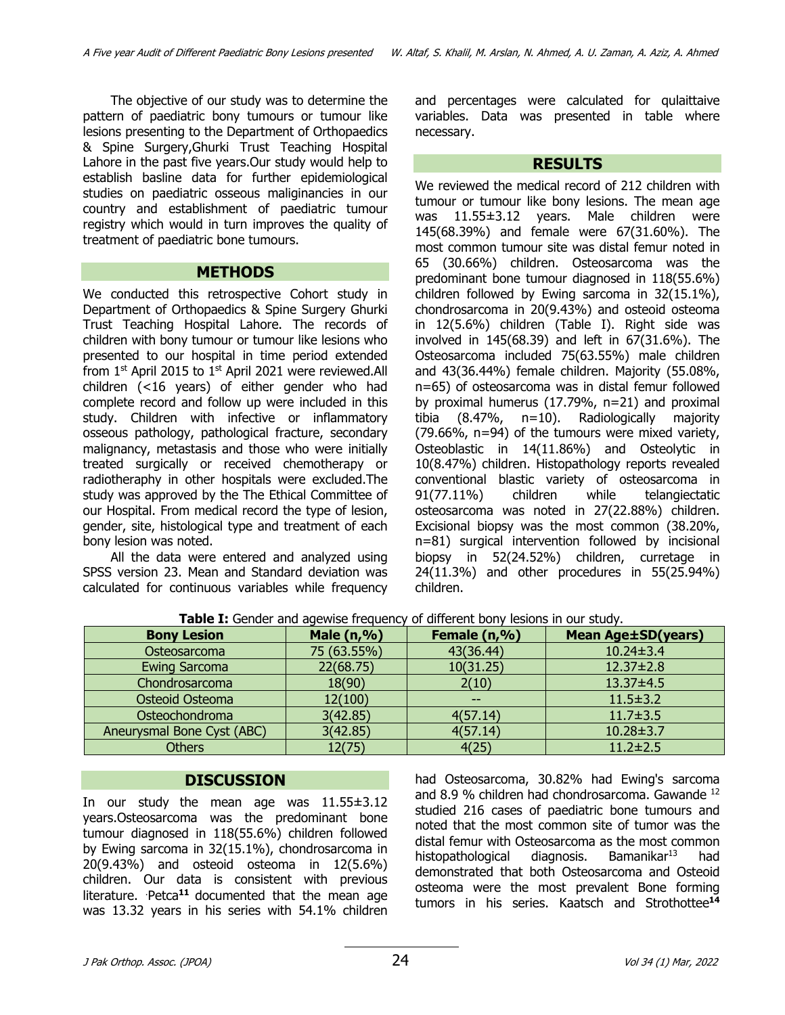The objective of our study was to determine the pattern of paediatric bony tumours or tumour like lesions presenting to the Department of Orthopaedics & Spine Surgery,Ghurki Trust Teaching Hospital Lahore in the past five years.Our study would help to establish basline data for further epidemiological studies on paediatric osseous maliginancies in our country and establishment of paediatric tumour registry which would in turn improves the quality of treatment of paediatric bone tumours.

#### **METHODS**

We conducted this retrospective Cohort study in Department of Orthopaedics & Spine Surgery Ghurki Trust Teaching Hospital Lahore. The records of children with bony tumour or tumour like lesions who presented to our hospital in time period extended from  $1<sup>st</sup>$  April 2015 to  $1<sup>st</sup>$  April 2021 were reviewed. All children (<16 years) of either gender who had complete record and follow up were included in this study. Children with infective or inflammatory osseous pathology, pathological fracture, secondary malignancy, metastasis and those who were initially treated surgically or received chemotherapy or radiotheraphy in other hospitals were excluded.The study was approved by the The Ethical Committee of our Hospital. From medical record the type of lesion, gender, site, histological type and treatment of each bony lesion was noted.

All the data were entered and analyzed using SPSS version 23. Mean and Standard deviation was calculated for continuous variables while frequency and percentages were calculated for qulaittaive variables. Data was presented in table where necessary.

#### **RESULTS**

We reviewed the medical record of 212 children with tumour or tumour like bony lesions. The mean age was 11.55±3.12 years. Male children were 145(68.39%) and female were 67(31.60%). The most common tumour site was distal femur noted in 65 (30.66%) children. Osteosarcoma was the predominant bone tumour diagnosed in 118(55.6%) children followed by Ewing sarcoma in 32(15.1%), chondrosarcoma in 20(9.43%) and osteoid osteoma in 12(5.6%) children (Table I). Right side was involved in 145(68.39) and left in 67(31.6%). The Osteosarcoma included 75(63.55%) male children and 43(36.44%) female children. Majority (55.08%, n=65) of osteosarcoma was in distal femur followed by proximal humerus (17.79%, n=21) and proximal tibia (8.47%, n=10). Radiologically majority (79.66%, n=94) of the tumours were mixed variety, Osteoblastic in 14(11.86%) and Osteolytic in 10(8.47%) children. Histopathology reports revealed conventional blastic variety of osteosarcoma in 91(77.11%) children while telangiectatic osteosarcoma was noted in 27(22.88%) children. Excisional biopsy was the most common (38.20%, n=81) surgical intervention followed by incisional biopsy in 52(24.52%) children, curretage in 24(11.3%) and other procedures in 55(25.94%) children.

| <b>TWOICE</b> TOCHOCH GHO GGCYHOC HICGACHCY<br>or amcrement bony resions in our seaat. |             |              |                           |
|----------------------------------------------------------------------------------------|-------------|--------------|---------------------------|
| <b>Bony Lesion</b>                                                                     | Male (n,%)  | Female (n,%) | <b>Mean Age±SD(years)</b> |
| Osteosarcoma                                                                           | 75 (63.55%) | 43(36.44)    | $10.24 \pm 3.4$           |
| <b>Ewing Sarcoma</b>                                                                   | 22(68.75)   | 10(31.25)    | $12.37 \pm 2.8$           |
| Chondrosarcoma                                                                         | 18(90)      | 2(10)        | $13.37 \pm 4.5$           |
| Osteoid Osteoma                                                                        | 12(100)     |              | $11.5 \pm 3.2$            |
| Osteochondroma                                                                         | 3(42.85)    | 4(57.14)     | $11.7 \pm 3.5$            |
| Aneurysmal Bone Cyst (ABC)                                                             | 3(42.85)    | 4(57.14)     | $10.28 \pm 3.7$           |
| <b>Others</b>                                                                          | 12(75)      | 4(25)        | $11.2 \pm 2.5$            |

**Table I:** Gender and agewise frequency of different bony lesions in our study.

## **DISCUSSION**

In our study the mean age was 11.55±3.12 years.Osteosarcoma was the predominant bone tumour diagnosed in 118(55.6%) children followed by Ewing sarcoma in 32(15.1%), chondrosarcoma in 20(9.43%) and osteoid osteoma in 12(5.6%) children. Our data is consistent with previous literature. Petca<sup>11</sup> documented that the mean age was 13.32 years in his series with 54.1% children

had Osteosarcoma, 30.82% had Ewing's sarcoma and 8.9 % children had chondrosarcoma. Gawande 12 studied 216 cases of paediatric bone tumours and noted that the most common site of tumor was the distal femur with Osteosarcoma as the most common histopathological diagnosis. Bamanikar<sup>13</sup> had demonstrated that both Osteosarcoma and Osteoid osteoma were the most prevalent Bone forming tumors in his series. Kaatsch and Strothottee**<sup>14</sup>**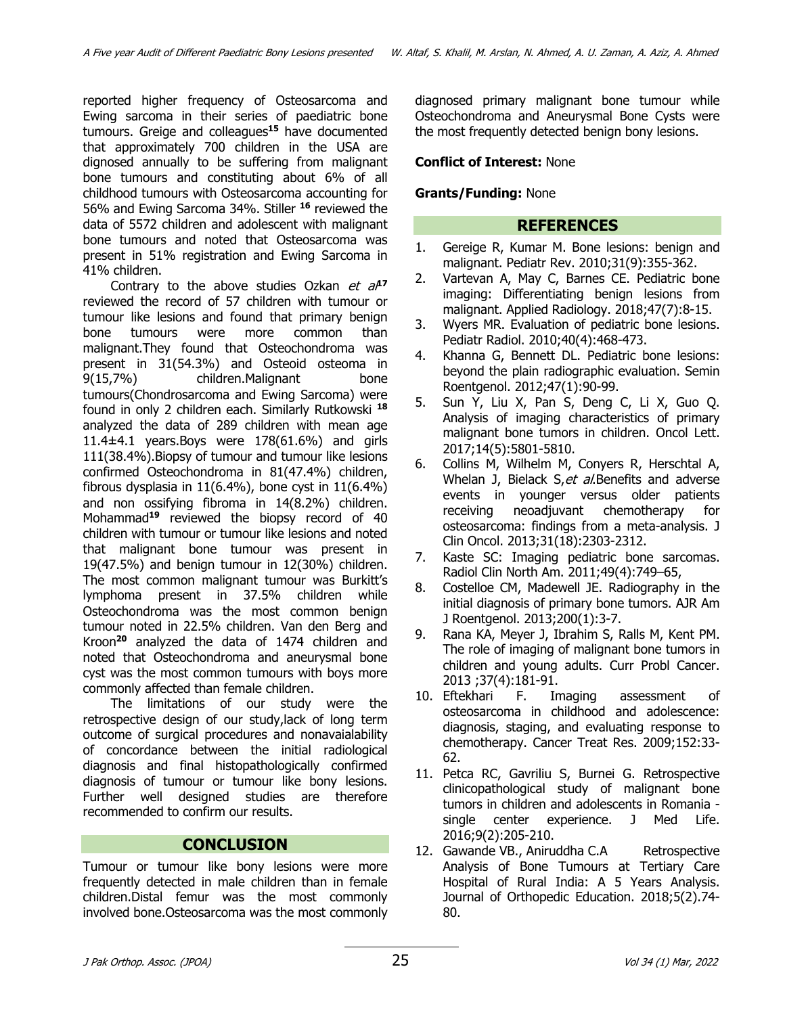reported higher frequency of Osteosarcoma and Ewing sarcoma in their series of paediatric bone tumours. Greige and colleagues**<sup>15</sup>** have documented that approximately 700 children in the USA are dignosed annually to be suffering from malignant bone tumours and constituting about 6% of all childhood tumours with Osteosarcoma accounting for 56% and Ewing Sarcoma 34%. Stiller **<sup>16</sup>** reviewed the data of 5572 children and adolescent with malignant bone tumours and noted that Osteosarcoma was present in 51% registration and Ewing Sarcoma in 41% children.

Contrary to the above studies Ozkan et a<sup>p7</sup> reviewed the record of 57 children with tumour or tumour like lesions and found that primary benign bone tumours were more common than malignant.They found that Osteochondroma was present in 31(54.3%) and Osteoid osteoma in 9(15,7%) children.Malignant bone tumours(Chondrosarcoma and Ewing Sarcoma) were found in only 2 children each. Similarly Rutkowski **<sup>18</sup>** analyzed the data of 289 children with mean age 11.4±4.1 years.Boys were 178(61.6%) and girls 111(38.4%).Biopsy of tumour and tumour like lesions confirmed Osteochondroma in 81(47.4%) children, fibrous dysplasia in  $11(6.4\%)$ , bone cyst in  $11(6.4\%)$ and non ossifying fibroma in 14(8.2%) children. Mohammad**<sup>19</sup>** reviewed the biopsy record of 40 children with tumour or tumour like lesions and noted that malignant bone tumour was present in 19(47.5%) and benign tumour in 12(30%) children. The most common malignant tumour was Burkitt's lymphoma present in 37.5% children while Osteochondroma was the most common benign tumour noted in 22.5% children. Van den Berg and Kroon**<sup>20</sup>** analyzed the data of 1474 children and noted that Osteochondroma and aneurysmal bone cyst was the most common tumours with boys more commonly affected than female children.

The limitations of our study were the retrospective design of our study,lack of long term outcome of surgical procedures and nonavaialability of concordance between the initial radiological diagnosis and final histopathologically confirmed diagnosis of tumour or tumour like bony lesions. Further well designed studies are therefore recommended to confirm our results.

# **CONCLUSION**

Tumour or tumour like bony lesions were more frequently detected in male children than in female children.Distal femur was the most commonly involved bone.Osteosarcoma was the most commonly diagnosed primary malignant bone tumour while Osteochondroma and Aneurysmal Bone Cysts were the most frequently detected benign bony lesions.

## **Conflict of Interest:** None

## **Grants/Funding:** None

# **REFERENCES**

- 1. Gereige R, Kumar M. Bone lesions: benign and malignant. Pediatr Rev. 2010;31(9):355-362.
- 2. Vartevan A, May C, Barnes CE. Pediatric bone imaging: Differentiating benign lesions from malignant. Applied Radiology. 2018;47(7):8-15.
- 3. Wyers MR. Evaluation of pediatric bone lesions. Pediatr Radiol. 2010;40(4):468-473.
- 4. Khanna G, Bennett DL. Pediatric bone lesions: beyond the plain radiographic evaluation. Semin Roentgenol. 2012;47(1):90-99.
- 5. Sun Y, Liu X, Pan S, Deng C, Li X, Guo Q. Analysis of imaging characteristics of primary malignant bone tumors in children. Oncol Lett. 2017;14(5):5801-5810.
- 6. Collins M, Wilhelm M, Conyers R, Herschtal A, Whelan J, Bielack S, et al.Benefits and adverse events in younger versus older patients receiving neoadjuvant chemotherapy for osteosarcoma: findings from a meta-analysis. J Clin Oncol. 2013;31(18):2303-2312.
- 7. Kaste SC: Imaging pediatric bone sarcomas. Radiol Clin North Am. 2011;49(4):749–65,
- 8. Costelloe CM, Madewell JE. Radiography in the initial diagnosis of primary bone tumors. AJR Am J Roentgenol. 2013;200(1):3-7.
- 9. Rana KA, Meyer J, Ibrahim S, Ralls M, Kent PM. The role of imaging of malignant bone tumors in children and young adults. Curr Probl Cancer. 2013 ;37(4):181-91.
- 10. Eftekhari F. Imaging assessment of osteosarcoma in childhood and adolescence: diagnosis, staging, and evaluating response to chemotherapy. Cancer Treat Res. 2009;152:33- 62.
- 11. Petca RC, Gavriliu S, Burnei G. Retrospective clinicopathological study of malignant bone tumors in children and adolescents in Romania single center experience. J Med Life. 2016;9(2):205-210.
- 12. Gawande VB., Aniruddha C.A Retrospective Analysis of Bone Tumours at Tertiary Care Hospital of Rural India: A 5 Years Analysis. Journal of Orthopedic Education. 2018;5(2).74- 80.